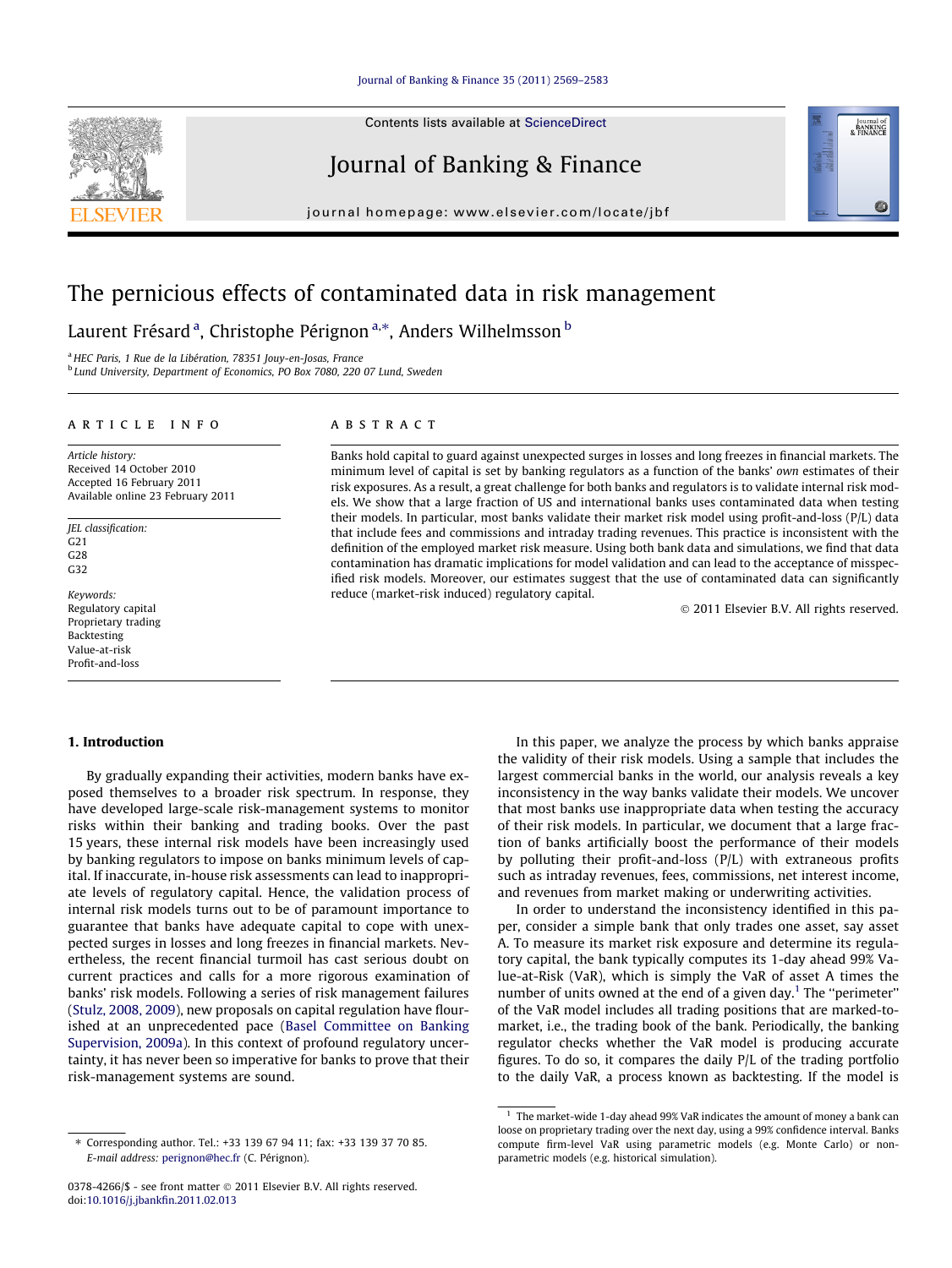## [Journal of Banking & Finance 35 \(2011\) 2569–2583](http://dx.doi.org/10.1016/j.jbankfin.2011.02.013)

Contents lists available at [ScienceDirect](http://www.sciencedirect.com/science/journal/03784266)

# Journal of Banking & Finance

journal homepage: [www.elsevier.com/locate/jbf](http://www.elsevier.com/locate/jbf)

# The pernicious effects of contaminated data in risk management

Laurent Frésard <sup>a</sup>, Christophe Pérignon <sup>a,\*</sup>, Anders Wilhelmsson <sup>b</sup>

<sup>a</sup> HEC Paris, 1 Rue de la Libération, 78351 Jouy-en-Josas, France <sup>b</sup> Lund University, Department of Economics, PO Box 7080, 220 07 Lund, Sweden

## article info

Article history: Received 14 October 2010 Accepted 16 February 2011 Available online 23 February 2011

JEL classification: G21  $C28$ G32

Keywords: Regulatory capital Proprietary trading Backtesting Value-at-risk Profit-and-loss

## **ABSTRACT**

Banks hold capital to guard against unexpected surges in losses and long freezes in financial markets. The minimum level of capital is set by banking regulators as a function of the banks' own estimates of their risk exposures. As a result, a great challenge for both banks and regulators is to validate internal risk models. We show that a large fraction of US and international banks uses contaminated data when testing their models. In particular, most banks validate their market risk model using profit-and-loss (P/L) data that include fees and commissions and intraday trading revenues. This practice is inconsistent with the definition of the employed market risk measure. Using both bank data and simulations, we find that data contamination has dramatic implications for model validation and can lead to the acceptance of misspecified risk models. Moreover, our estimates suggest that the use of contaminated data can significantly reduce (market-risk induced) regulatory capital.

© 2011 Elsevier B.V. All rights reserved.

## 1. Introduction

By gradually expanding their activities, modern banks have exposed themselves to a broader risk spectrum. In response, they have developed large-scale risk-management systems to monitor risks within their banking and trading books. Over the past 15 years, these internal risk models have been increasingly used by banking regulators to impose on banks minimum levels of capital. If inaccurate, in-house risk assessments can lead to inappropriate levels of regulatory capital. Hence, the validation process of internal risk models turns out to be of paramount importance to guarantee that banks have adequate capital to cope with unexpected surges in losses and long freezes in financial markets. Nevertheless, the recent financial turmoil has cast serious doubt on current practices and calls for a more rigorous examination of banks' risk models. Following a series of risk management failures ([Stulz, 2008, 2009\)](#page--1-0), new proposals on capital regulation have flourished at an unprecedented pace ([Basel Committee on Banking](#page--1-0) [Supervision, 2009a](#page--1-0)). In this context of profound regulatory uncertainty, it has never been so imperative for banks to prove that their risk-management systems are sound.

In this paper, we analyze the process by which banks appraise the validity of their risk models. Using a sample that includes the largest commercial banks in the world, our analysis reveals a key inconsistency in the way banks validate their models. We uncover that most banks use inappropriate data when testing the accuracy of their risk models. In particular, we document that a large fraction of banks artificially boost the performance of their models by polluting their profit-and-loss (P/L) with extraneous profits such as intraday revenues, fees, commissions, net interest income, and revenues from market making or underwriting activities.

In order to understand the inconsistency identified in this paper, consider a simple bank that only trades one asset, say asset A. To measure its market risk exposure and determine its regulatory capital, the bank typically computes its 1-day ahead 99% Value-at-Risk (VaR), which is simply the VaR of asset A times the number of units owned at the end of a given day.<sup>1</sup> The "perimeter" of the VaR model includes all trading positions that are marked-tomarket, i.e., the trading book of the bank. Periodically, the banking regulator checks whether the VaR model is producing accurate figures. To do so, it compares the daily P/L of the trading portfolio to the daily VaR, a process known as backtesting. If the model is





<sup>⇑</sup> Corresponding author. Tel.: +33 139 67 94 11; fax: +33 139 37 70 85. E-mail address: [perignon@hec.fr](mailto:perignon@hec.fr) (C. Pérignon).

<sup>0378-4266/\$ -</sup> see front matter © 2011 Elsevier B.V. All rights reserved. doi[:10.1016/j.jbankfin.2011.02.013](http://dx.doi.org/10.1016/j.jbankfin.2011.02.013)

<sup>1</sup> The market-wide 1-day ahead 99% VaR indicates the amount of money a bank can loose on proprietary trading over the next day, using a 99% confidence interval. Banks compute firm-level VaR using parametric models (e.g. Monte Carlo) or nonparametric models (e.g. historical simulation).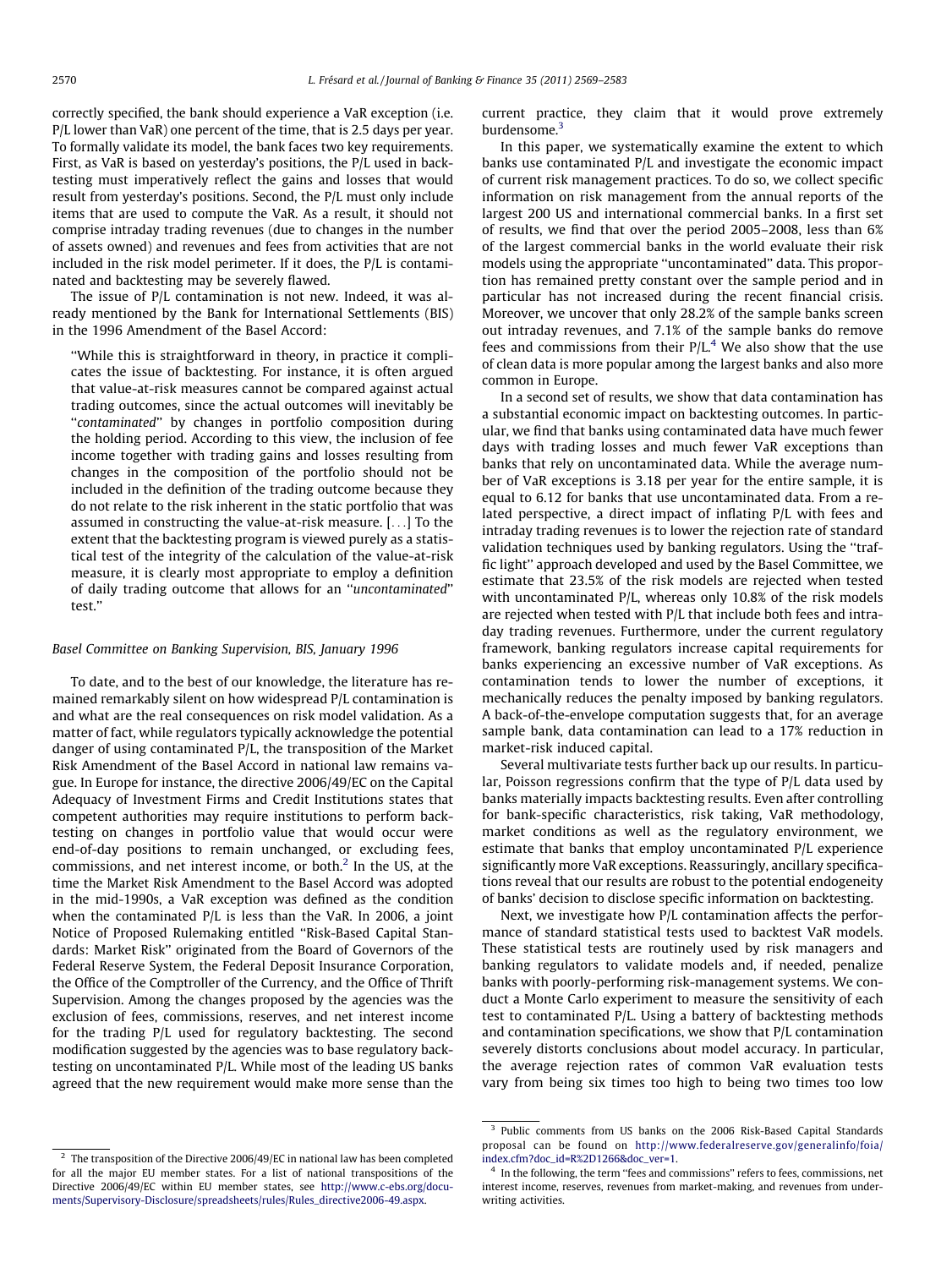correctly specified, the bank should experience a VaR exception (i.e. P/L lower than VaR) one percent of the time, that is 2.5 days per year. To formally validate its model, the bank faces two key requirements. First, as VaR is based on yesterday's positions, the P/L used in backtesting must imperatively reflect the gains and losses that would result from yesterday's positions. Second, the P/L must only include items that are used to compute the VaR. As a result, it should not comprise intraday trading revenues (due to changes in the number of assets owned) and revenues and fees from activities that are not included in the risk model perimeter. If it does, the P/L is contaminated and backtesting may be severely flawed.

The issue of P/L contamination is not new. Indeed, it was already mentioned by the Bank for International Settlements (BIS) in the 1996 Amendment of the Basel Accord:

''While this is straightforward in theory, in practice it complicates the issue of backtesting. For instance, it is often argued that value-at-risk measures cannot be compared against actual trading outcomes, since the actual outcomes will inevitably be "contaminated" by changes in portfolio composition during the holding period. According to this view, the inclusion of fee income together with trading gains and losses resulting from changes in the composition of the portfolio should not be included in the definition of the trading outcome because they do not relate to the risk inherent in the static portfolio that was assumed in constructing the value-at-risk measure. [...] To the extent that the backtesting program is viewed purely as a statistical test of the integrity of the calculation of the value-at-risk measure, it is clearly most appropriate to employ a definition of daily trading outcome that allows for an ''uncontaminated'' test.''

#### Basel Committee on Banking Supervision, BIS, January 1996

To date, and to the best of our knowledge, the literature has remained remarkably silent on how widespread P/L contamination is and what are the real consequences on risk model validation. As a matter of fact, while regulators typically acknowledge the potential danger of using contaminated P/L, the transposition of the Market Risk Amendment of the Basel Accord in national law remains vague. In Europe for instance, the directive 2006/49/EC on the Capital Adequacy of Investment Firms and Credit Institutions states that competent authorities may require institutions to perform backtesting on changes in portfolio value that would occur were end-of-day positions to remain unchanged, or excluding fees, commissions, and net interest income, or both.2 In the US, at the time the Market Risk Amendment to the Basel Accord was adopted in the mid-1990s, a VaR exception was defined as the condition when the contaminated P/L is less than the VaR. In 2006, a joint Notice of Proposed Rulemaking entitled ''Risk-Based Capital Standards: Market Risk'' originated from the Board of Governors of the Federal Reserve System, the Federal Deposit Insurance Corporation, the Office of the Comptroller of the Currency, and the Office of Thrift Supervision. Among the changes proposed by the agencies was the exclusion of fees, commissions, reserves, and net interest income for the trading P/L used for regulatory backtesting. The second modification suggested by the agencies was to base regulatory backtesting on uncontaminated P/L. While most of the leading US banks agreed that the new requirement would make more sense than the current practice, they claim that it would prove extremely burdensome.<sup>3</sup>

In this paper, we systematically examine the extent to which banks use contaminated P/L and investigate the economic impact of current risk management practices. To do so, we collect specific information on risk management from the annual reports of the largest 200 US and international commercial banks. In a first set of results, we find that over the period 2005–2008, less than 6% of the largest commercial banks in the world evaluate their risk models using the appropriate ''uncontaminated'' data. This proportion has remained pretty constant over the sample period and in particular has not increased during the recent financial crisis. Moreover, we uncover that only 28.2% of the sample banks screen out intraday revenues, and 7.1% of the sample banks do remove fees and commissions from their  $P/L<sup>4</sup>$  We also show that the use of clean data is more popular among the largest banks and also more common in Europe.

In a second set of results, we show that data contamination has a substantial economic impact on backtesting outcomes. In particular, we find that banks using contaminated data have much fewer days with trading losses and much fewer VaR exceptions than banks that rely on uncontaminated data. While the average number of VaR exceptions is 3.18 per year for the entire sample, it is equal to 6.12 for banks that use uncontaminated data. From a related perspective, a direct impact of inflating P/L with fees and intraday trading revenues is to lower the rejection rate of standard validation techniques used by banking regulators. Using the ''traffic light'' approach developed and used by the Basel Committee, we estimate that 23.5% of the risk models are rejected when tested with uncontaminated P/L, whereas only 10.8% of the risk models are rejected when tested with P/L that include both fees and intraday trading revenues. Furthermore, under the current regulatory framework, banking regulators increase capital requirements for banks experiencing an excessive number of VaR exceptions. As contamination tends to lower the number of exceptions, it mechanically reduces the penalty imposed by banking regulators. A back-of-the-envelope computation suggests that, for an average sample bank, data contamination can lead to a 17% reduction in market-risk induced capital.

Several multivariate tests further back up our results. In particular, Poisson regressions confirm that the type of P/L data used by banks materially impacts backtesting results. Even after controlling for bank-specific characteristics, risk taking, VaR methodology, market conditions as well as the regulatory environment, we estimate that banks that employ uncontaminated P/L experience significantly more VaR exceptions. Reassuringly, ancillary specifications reveal that our results are robust to the potential endogeneity of banks' decision to disclose specific information on backtesting.

Next, we investigate how P/L contamination affects the performance of standard statistical tests used to backtest VaR models. These statistical tests are routinely used by risk managers and banking regulators to validate models and, if needed, penalize banks with poorly-performing risk-management systems. We conduct a Monte Carlo experiment to measure the sensitivity of each test to contaminated P/L. Using a battery of backtesting methods and contamination specifications, we show that P/L contamination severely distorts conclusions about model accuracy. In particular, the average rejection rates of common VaR evaluation tests vary from being six times too high to being two times too low

 $2$  The transposition of the Directive 2006/49/EC in national law has been completed for all the major EU member states. For a list of national transpositions of the Directive 2006/49/EC within EU member states, see [http://www.c-ebs.org/docu](http://www.c-ebs.org/documents/Supervisory-Disclosure/spreadsheets/rules/Rules_directive2006-49.aspx)[ments/Supervisory-Disclosure/spreadsheets/rules/Rules\\_directive2006-49.aspx.](http://www.c-ebs.org/documents/Supervisory-Disclosure/spreadsheets/rules/Rules_directive2006-49.aspx)

<sup>3</sup> Public comments from US banks on the 2006 Risk-Based Capital Standards proposal can be found on [http://www.federalreserve.gov/generalinfo/foia/](http://www.federalreserve.gov) [index.cfm?doc\\_id=R%2D1266&doc\\_ver=1.](http://www.federalreserve.gov)

 $^4\,$  In the following, the term ''fees and commissions'' refers to fees, commissions, net interest income, reserves, revenues from market-making, and revenues from underwriting activities.